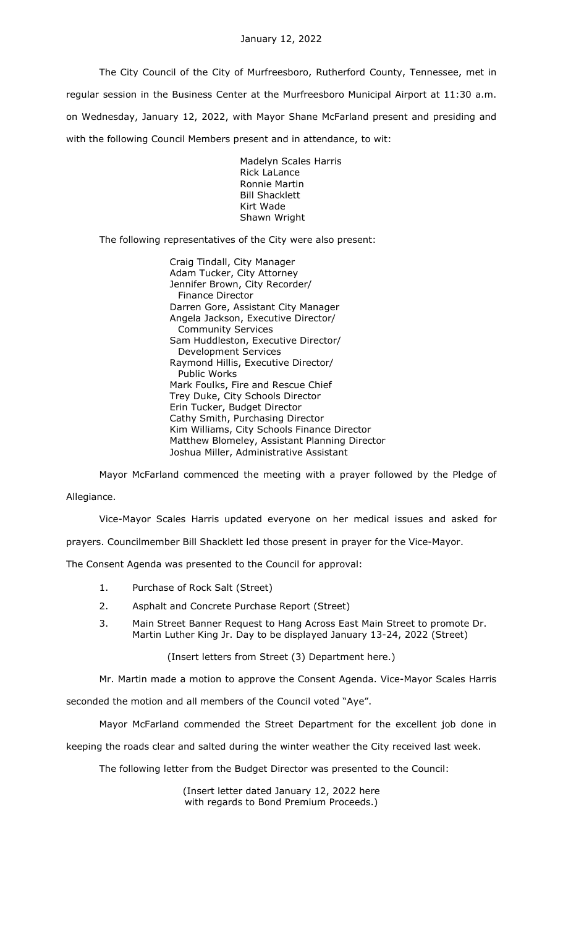The City Council of the City of Murfreesboro, Rutherford County, Tennessee, met in regular session in the Business Center at the Murfreesboro Municipal Airport at 11:30 a.m. on Wednesday, January 12, 2022, with Mayor Shane McFarland present and presiding and with the following Council Members present and in attendance, to wit:

> Madelyn Scales Harris Rick LaLance Ronnie Martin Bill Shacklett Kirt Wade Shawn Wright

The following representatives of the City were also present:

Craig Tindall, City Manager Adam Tucker, City Attorney Jennifer Brown, City Recorder/ Finance Director Darren Gore, Assistant City Manager Angela Jackson, Executive Director/ Community Services Sam Huddleston, Executive Director/ Development Services Raymond Hillis, Executive Director/ Public Works Mark Foulks, Fire and Rescue Chief Trey Duke, City Schools Director Erin Tucker, Budget Director Cathy Smith, Purchasing Director Kim Williams, City Schools Finance Director Matthew Blomeley, Assistant Planning Director Joshua Miller, Administrative Assistant

Mayor McFarland commenced the meeting with a prayer followed by the Pledge of

Allegiance.

Vice-Mayor Scales Harris updated everyone on her medical issues and asked for

prayers. Councilmember Bill Shacklett led those present in prayer for the Vice-Mayor.

The Consent Agenda was presented to the Council for approval:

- 1. Purchase of Rock Salt (Street)
- 2. Asphalt and Concrete Purchase Report (Street)
- 3. Main Street Banner Request to Hang Across East Main Street to promote Dr. Martin Luther King Jr. Day to be displayed January 13-24, 2022 (Street)

(Insert letters from Street (3) Department here.)

Mr. Martin made a motion to approve the Consent Agenda. Vice-Mayor Scales Harris seconded the motion and all members of the Council voted "Aye".

Mayor McFarland commended the Street Department for the excellent job done in

keeping the roads clear and salted during the winter weather the City received last week.

The following letter from the Budget Director was presented to the Council:

(Insert letter dated January 12, 2022 here with regards to Bond Premium Proceeds.)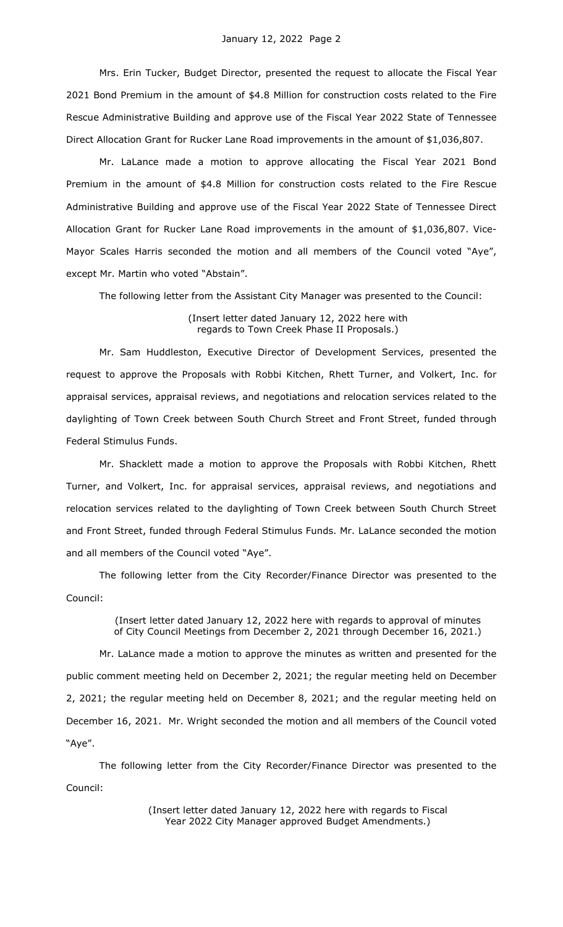Mrs. Erin Tucker, Budget Director, presented the request to allocate the Fiscal Year 2021 Bond Premium in the amount of \$4.8 Million for construction costs related to the Fire Rescue Administrative Building and approve use of the Fiscal Year 2022 State of Tennessee Direct Allocation Grant for Rucker Lane Road improvements in the amount of \$1,036,807.

Mr. LaLance made a motion to approve allocating the Fiscal Year 2021 Bond Premium in the amount of \$4.8 Million for construction costs related to the Fire Rescue Administrative Building and approve use of the Fiscal Year 2022 State of Tennessee Direct Allocation Grant for Rucker Lane Road improvements in the amount of \$1,036,807. Vice-Mayor Scales Harris seconded the motion and all members of the Council voted "Aye", except Mr. Martin who voted "Abstain".

The following letter from the Assistant City Manager was presented to the Council:

(Insert letter dated January 12, 2022 here with regards to Town Creek Phase II Proposals.)

Mr. Sam Huddleston, Executive Director of Development Services, presented the request to approve the Proposals with Robbi Kitchen, Rhett Turner, and Volkert, Inc. for appraisal services, appraisal reviews, and negotiations and relocation services related to the daylighting of Town Creek between South Church Street and Front Street, funded through Federal Stimulus Funds.

Mr. Shacklett made a motion to approve the Proposals with Robbi Kitchen, Rhett Turner, and Volkert, Inc. for appraisal services, appraisal reviews, and negotiations and relocation services related to the daylighting of Town Creek between South Church Street and Front Street, funded through Federal Stimulus Funds. Mr. LaLance seconded the motion and all members of the Council voted "Aye".

The following letter from the City Recorder/Finance Director was presented to the Council:

> (Insert letter dated January 12, 2022 here with regards to approval of minutes of City Council Meetings from December 2, 2021 through December 16, 2021.)

Mr. LaLance made a motion to approve the minutes as written and presented for the public comment meeting held on December 2, 2021; the regular meeting held on December 2, 2021; the regular meeting held on December 8, 2021; and the regular meeting held on December 16, 2021. Mr. Wright seconded the motion and all members of the Council voted "Aye".

The following letter from the City Recorder/Finance Director was presented to the Council:

> (Insert letter dated January 12, 2022 here with regards to Fiscal Year 2022 City Manager approved Budget Amendments.)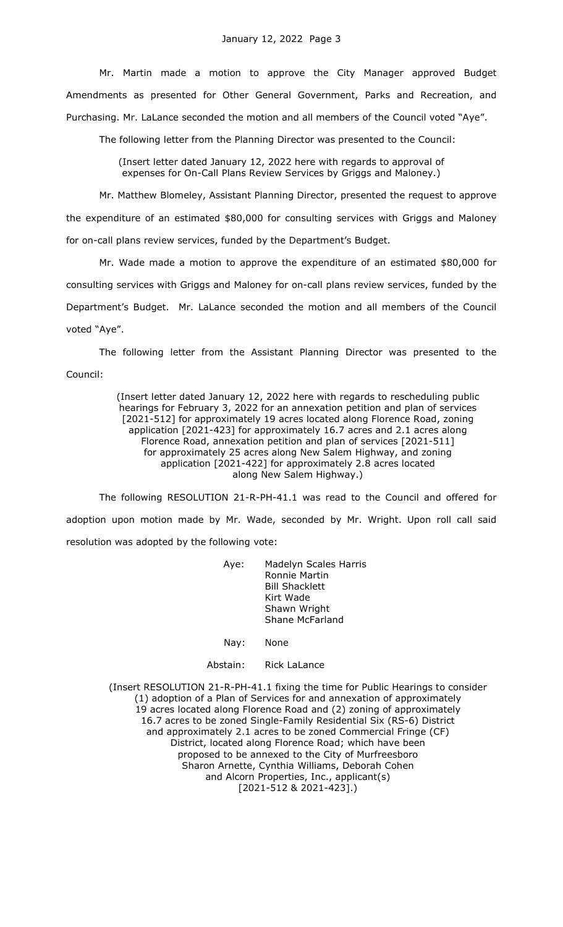Mr. Martin made a motion to approve the City Manager approved Budget Amendments as presented for Other General Government, Parks and Recreation, and Purchasing. Mr. LaLance seconded the motion and all members of the Council voted "Aye".

The following letter from the Planning Director was presented to the Council:

(Insert letter dated January 12, 2022 here with regards to approval of expenses for On-Call Plans Review Services by Griggs and Maloney.)

Mr. Matthew Blomeley, Assistant Planning Director, presented the request to approve the expenditure of an estimated \$80,000 for consulting services with Griggs and Maloney for on-call plans review services, funded by the Department's Budget.

Mr. Wade made a motion to approve the expenditure of an estimated \$80,000 for consulting services with Griggs and Maloney for on-call plans review services, funded by the Department's Budget. Mr. LaLance seconded the motion and all members of the Council voted "Aye".

The following letter from the Assistant Planning Director was presented to the Council:

> (Insert letter dated January 12, 2022 here with regards to rescheduling public hearings for February 3, 2022 for an annexation petition and plan of services [2021-512] for approximately 19 acres located along Florence Road, zoning application [2021-423] for approximately 16.7 acres and 2.1 acres along Florence Road, annexation petition and plan of services [2021-511] for approximately 25 acres along New Salem Highway, and zoning application [2021-422] for approximately 2.8 acres located along New Salem Highway.)

The following RESOLUTION 21-R-PH-41.1 was read to the Council and offered for adoption upon motion made by Mr. Wade, seconded by Mr. Wright. Upon roll call said resolution was adopted by the following vote:

> Aye: Madelyn Scales Harris Ronnie Martin Bill Shacklett Kirt Wade Shawn Wright Shane McFarland

Nay: None

Abstain: Rick LaLance

(Insert RESOLUTION 21-R-PH-41.1 fixing the time for Public Hearings to consider (1) adoption of a Plan of Services for and annexation of approximately 19 acres located along Florence Road and (2) zoning of approximately 16.7 acres to be zoned Single-Family Residential Six (RS-6) District and approximately 2.1 acres to be zoned Commercial Fringe (CF) District, located along Florence Road; which have been proposed to be annexed to the City of Murfreesboro Sharon Arnette, Cynthia Williams, Deborah Cohen and Alcorn Properties, Inc., applicant(s) [2021-512 & 2021-423].)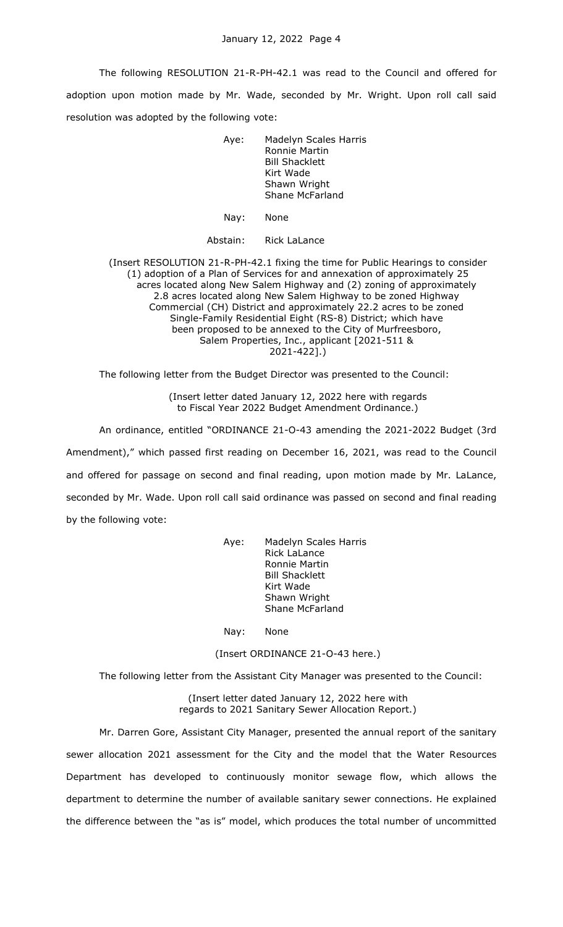The following RESOLUTION 21-R-PH-42.1 was read to the Council and offered for adoption upon motion made by Mr. Wade, seconded by Mr. Wright. Upon roll call said resolution was adopted by the following vote:

> Aye: Madelyn Scales Harris Ronnie Martin Bill Shacklett Kirt Wade Shawn Wright Shane McFarland

Nay: None

Abstain: Rick LaLance

(Insert RESOLUTION 21-R-PH-42.1 fixing the time for Public Hearings to consider (1) adoption of a Plan of Services for and annexation of approximately 25 acres located along New Salem Highway and (2) zoning of approximately 2.8 acres located along New Salem Highway to be zoned Highway Commercial (CH) District and approximately 22.2 acres to be zoned Single-Family Residential Eight (RS-8) District; which have been proposed to be annexed to the City of Murfreesboro, Salem Properties, Inc., applicant [2021-511 & 2021-422].)

The following letter from the Budget Director was presented to the Council:

(Insert letter dated January 12, 2022 here with regards to Fiscal Year 2022 Budget Amendment Ordinance.)

An ordinance, entitled "ORDINANCE 21-O-43 amending the 2021-2022 Budget (3rd Amendment)," which passed first reading on December 16, 2021, was read to the Council and offered for passage on second and final reading, upon motion made by Mr. LaLance, seconded by Mr. Wade. Upon roll call said ordinance was passed on second and final reading by the following vote:

> Aye: Madelyn Scales Harris Rick LaLance Ronnie Martin Bill Shacklett Kirt Wade Shawn Wright Shane McFarland

Nay: None

(Insert ORDINANCE 21-O-43 here.)

The following letter from the Assistant City Manager was presented to the Council:

(Insert letter dated January 12, 2022 here with regards to 2021 Sanitary Sewer Allocation Report.)

Mr. Darren Gore, Assistant City Manager, presented the annual report of the sanitary sewer allocation 2021 assessment for the City and the model that the Water Resources Department has developed to continuously monitor sewage flow, which allows the department to determine the number of available sanitary sewer connections. He explained the difference between the "as is" model, which produces the total number of uncommitted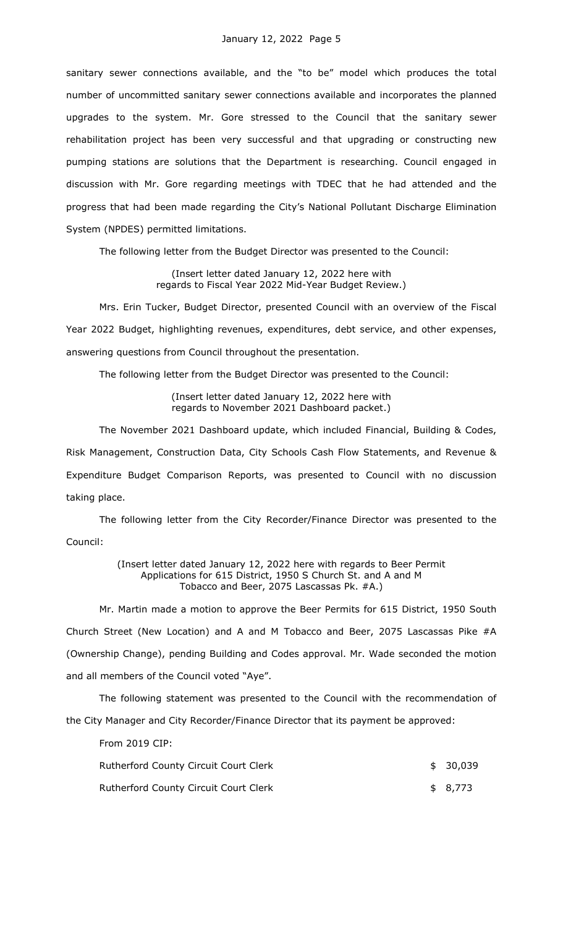sanitary sewer connections available, and the "to be" model which produces the total number of uncommitted sanitary sewer connections available and incorporates the planned upgrades to the system. Mr. Gore stressed to the Council that the sanitary sewer rehabilitation project has been very successful and that upgrading or constructing new pumping stations are solutions that the Department is researching. Council engaged in discussion with Mr. Gore regarding meetings with TDEC that he had attended and the progress that had been made regarding the City's National Pollutant Discharge Elimination System (NPDES) permitted limitations.

The following letter from the Budget Director was presented to the Council:

(Insert letter dated January 12, 2022 here with regards to Fiscal Year 2022 Mid-Year Budget Review.)

Mrs. Erin Tucker, Budget Director, presented Council with an overview of the Fiscal Year 2022 Budget, highlighting revenues, expenditures, debt service, and other expenses, answering questions from Council throughout the presentation.

The following letter from the Budget Director was presented to the Council:

(Insert letter dated January 12, 2022 here with regards to November 2021 Dashboard packet.)

The November 2021 Dashboard update, which included Financial, Building & Codes, Risk Management, Construction Data, City Schools Cash Flow Statements, and Revenue & Expenditure Budget Comparison Reports, was presented to Council with no discussion taking place.

The following letter from the City Recorder/Finance Director was presented to the Council:

> (Insert letter dated January 12, 2022 here with regards to Beer Permit Applications for 615 District, 1950 S Church St. and A and M Tobacco and Beer, 2075 Lascassas Pk. #A.)

Mr. Martin made a motion to approve the Beer Permits for 615 District, 1950 South Church Street (New Location) and A and M Tobacco and Beer, 2075 Lascassas Pike #A (Ownership Change), pending Building and Codes approval. Mr. Wade seconded the motion and all members of the Council voted "Aye".

The following statement was presented to the Council with the recommendation of the City Manager and City Recorder/Finance Director that its payment be approved:

From 2019 CIP:

| Rutherford County Circuit Court Clerk | \$30,039 |
|---------------------------------------|----------|
| Rutherford County Circuit Court Clerk | \$ 8,773 |